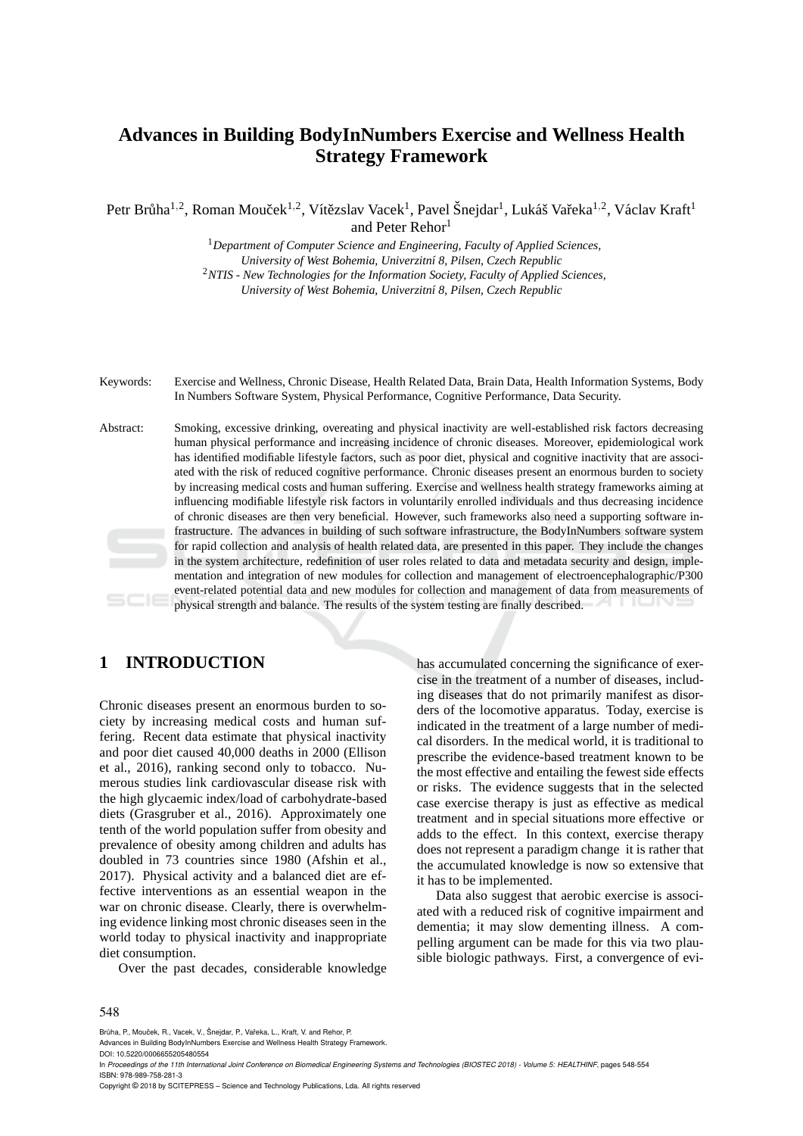# **Advances in Building BodyInNumbers Exercise and Wellness Health Strategy Framework**

Petr Brůha $^{1,2}$ , Roman Mouček $^{1,2}$ , Vítězslav Vacek $^1$ , Pavel Šnejdar $^1$ , Lukáš Vařeka $^{1,2}$ , Václav Kraft $^1$ and Peter Rehor<sup>1</sup>

> <sup>1</sup>*Department of Computer Science and Engineering, Faculty of Applied Sciences, University of West Bohemia, Univerzitn´ı 8, Pilsen, Czech Republic* <sup>2</sup>*NTIS - New Technologies for the Information Society, Faculty of Applied Sciences, University of West Bohemia, Univerzitn´ı 8, Pilsen, Czech Republic*

Keywords: Exercise and Wellness, Chronic Disease, Health Related Data, Brain Data, Health Information Systems, Body In Numbers Software System, Physical Performance, Cognitive Performance, Data Security.

Abstract: Smoking, excessive drinking, overeating and physical inactivity are well-established risk factors decreasing human physical performance and increasing incidence of chronic diseases. Moreover, epidemiological work has identified modifiable lifestyle factors, such as poor diet, physical and cognitive inactivity that are associated with the risk of reduced cognitive performance. Chronic diseases present an enormous burden to society by increasing medical costs and human suffering. Exercise and wellness health strategy frameworks aiming at influencing modifiable lifestyle risk factors in voluntarily enrolled individuals and thus decreasing incidence of chronic diseases are then very beneficial. However, such frameworks also need a supporting software infrastructure. The advances in building of such software infrastructure, the BodyInNumbers software system for rapid collection and analysis of health related data, are presented in this paper. They include the changes in the system architecture, redefinition of user roles related to data and metadata security and design, implementation and integration of new modules for collection and management of electroencephalographic/P300 event-related potential data and new modules for collection and management of data from measurements of physical strength and balance. The results of the system testing are finally described.

## **1 INTRODUCTION**

Chronic diseases present an enormous burden to society by increasing medical costs and human suffering. Recent data estimate that physical inactivity and poor diet caused 40,000 deaths in 2000 (Ellison et al., 2016), ranking second only to tobacco. Numerous studies link cardiovascular disease risk with the high glycaemic index/load of carbohydrate-based diets (Grasgruber et al., 2016). Approximately one tenth of the world population suffer from obesity and prevalence of obesity among children and adults has doubled in 73 countries since 1980 (Afshin et al., 2017). Physical activity and a balanced diet are effective interventions as an essential weapon in the war on chronic disease. Clearly, there is overwhelming evidence linking most chronic diseases seen in the world today to physical inactivity and inappropriate diet consumption.

Over the past decades, considerable knowledge

has accumulated concerning the significance of exercise in the treatment of a number of diseases, including diseases that do not primarily manifest as disorders of the locomotive apparatus. Today, exercise is indicated in the treatment of a large number of medical disorders. In the medical world, it is traditional to prescribe the evidence-based treatment known to be the most effective and entailing the fewest side effects or risks. The evidence suggests that in the selected case exercise therapy is just as effective as medical treatment and in special situations more effective or adds to the effect. In this context, exercise therapy does not represent a paradigm change it is rather that the accumulated knowledge is now so extensive that it has to be implemented.

Data also suggest that aerobic exercise is associated with a reduced risk of cognitive impairment and dementia; it may slow dementing illness. A compelling argument can be made for this via two plausible biologic pathways. First, a convergence of evi-

#### 548

Brůha, P., Mouček, R., Vacek, V., Šnejdar, P., Vařeka, L., Kraft, V. and Rehor, P.

Advances in Building BodyInNumbers Exercise and Wellness Health Strategy Framework.

DOI: 10.5220/0006655205480554

In *Proceedings of the 11th International Joint Conference on Biomedical Engineering Systems and Technologies (BIOSTEC 2018) - Volume 5: HEALTHINF*, pages 548-554 ISBN: 978-989-758-281-3

Copyright © 2018 by SCITEPRESS – Science and Technology Publications, Lda. All rights reserved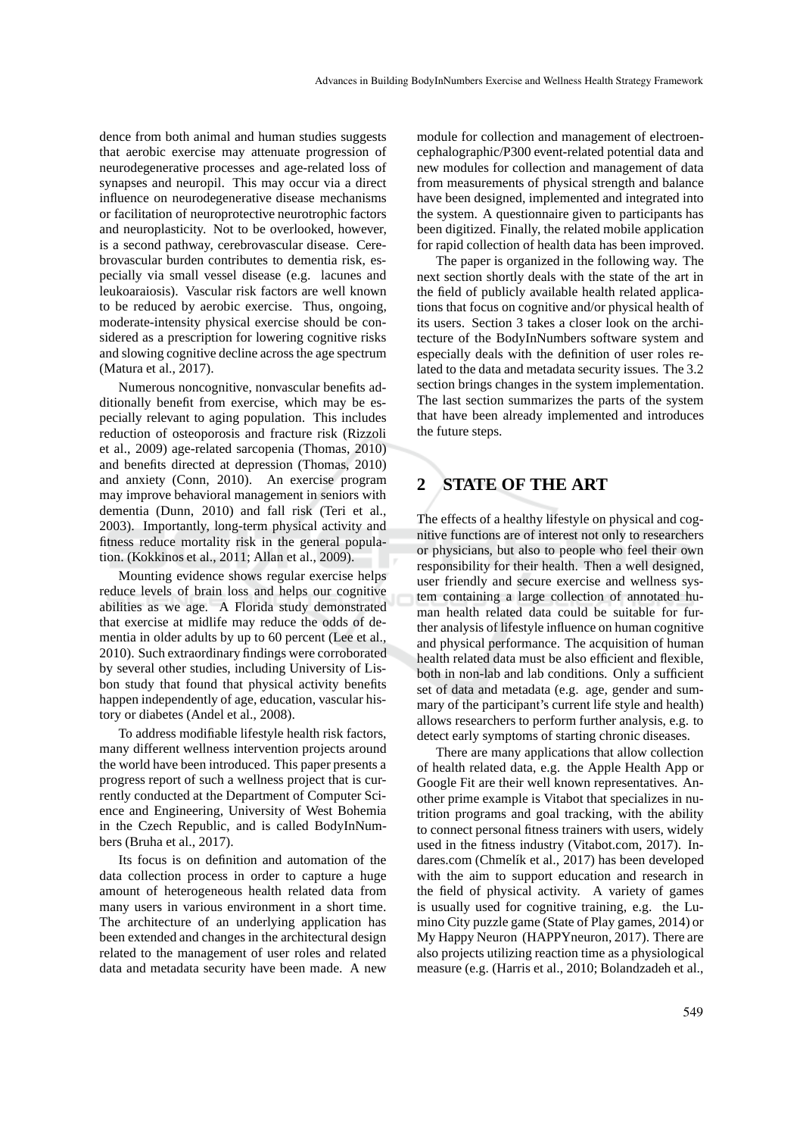dence from both animal and human studies suggests that aerobic exercise may attenuate progression of neurodegenerative processes and age-related loss of synapses and neuropil. This may occur via a direct influence on neurodegenerative disease mechanisms or facilitation of neuroprotective neurotrophic factors and neuroplasticity. Not to be overlooked, however, is a second pathway, cerebrovascular disease. Cerebrovascular burden contributes to dementia risk, especially via small vessel disease (e.g. lacunes and leukoaraiosis). Vascular risk factors are well known to be reduced by aerobic exercise. Thus, ongoing, moderate-intensity physical exercise should be considered as a prescription for lowering cognitive risks and slowing cognitive decline across the age spectrum (Matura et al., 2017).

Numerous noncognitive, nonvascular benefits additionally benefit from exercise, which may be especially relevant to aging population. This includes reduction of osteoporosis and fracture risk (Rizzoli et al., 2009) age-related sarcopenia (Thomas, 2010) and benefits directed at depression (Thomas, 2010) and anxiety (Conn, 2010). An exercise program may improve behavioral management in seniors with dementia (Dunn, 2010) and fall risk (Teri et al., 2003). Importantly, long-term physical activity and fitness reduce mortality risk in the general population. (Kokkinos et al., 2011; Allan et al., 2009).

Mounting evidence shows regular exercise helps reduce levels of brain loss and helps our cognitive abilities as we age. A Florida study demonstrated that exercise at midlife may reduce the odds of dementia in older adults by up to 60 percent (Lee et al., 2010). Such extraordinary findings were corroborated by several other studies, including University of Lisbon study that found that physical activity benefits happen independently of age, education, vascular history or diabetes (Andel et al., 2008).

To address modifiable lifestyle health risk factors, many different wellness intervention projects around the world have been introduced. This paper presents a progress report of such a wellness project that is currently conducted at the Department of Computer Science and Engineering, University of West Bohemia in the Czech Republic, and is called BodyInNumbers (Bruha et al., 2017).

Its focus is on definition and automation of the data collection process in order to capture a huge amount of heterogeneous health related data from many users in various environment in a short time. The architecture of an underlying application has been extended and changes in the architectural design related to the management of user roles and related data and metadata security have been made. A new

module for collection and management of electroencephalographic/P300 event-related potential data and new modules for collection and management of data from measurements of physical strength and balance have been designed, implemented and integrated into the system. A questionnaire given to participants has been digitized. Finally, the related mobile application for rapid collection of health data has been improved.

The paper is organized in the following way. The next section shortly deals with the state of the art in the field of publicly available health related applications that focus on cognitive and/or physical health of its users. Section 3 takes a closer look on the architecture of the BodyInNumbers software system and especially deals with the definition of user roles related to the data and metadata security issues. The 3.2 section brings changes in the system implementation. The last section summarizes the parts of the system that have been already implemented and introduces the future steps.

# **2 STATE OF THE ART**

The effects of a healthy lifestyle on physical and cognitive functions are of interest not only to researchers or physicians, but also to people who feel their own responsibility for their health. Then a well designed, user friendly and secure exercise and wellness system containing a large collection of annotated human health related data could be suitable for further analysis of lifestyle influence on human cognitive and physical performance. The acquisition of human health related data must be also efficient and flexible, both in non-lab and lab conditions. Only a sufficient set of data and metadata (e.g. age, gender and summary of the participant's current life style and health) allows researchers to perform further analysis, e.g. to detect early symptoms of starting chronic diseases.

There are many applications that allow collection of health related data, e.g. the Apple Health App or Google Fit are their well known representatives. Another prime example is Vitabot that specializes in nutrition programs and goal tracking, with the ability to connect personal fitness trainers with users, widely used in the fitness industry (Vitabot.com, 2017). Indares.com (Chmelík et al., 2017) has been developed with the aim to support education and research in the field of physical activity. A variety of games is usually used for cognitive training, e.g. the Lumino City puzzle game (State of Play games, 2014) or My Happy Neuron (HAPPYneuron, 2017). There are also projects utilizing reaction time as a physiological measure (e.g. (Harris et al., 2010; Bolandzadeh et al.,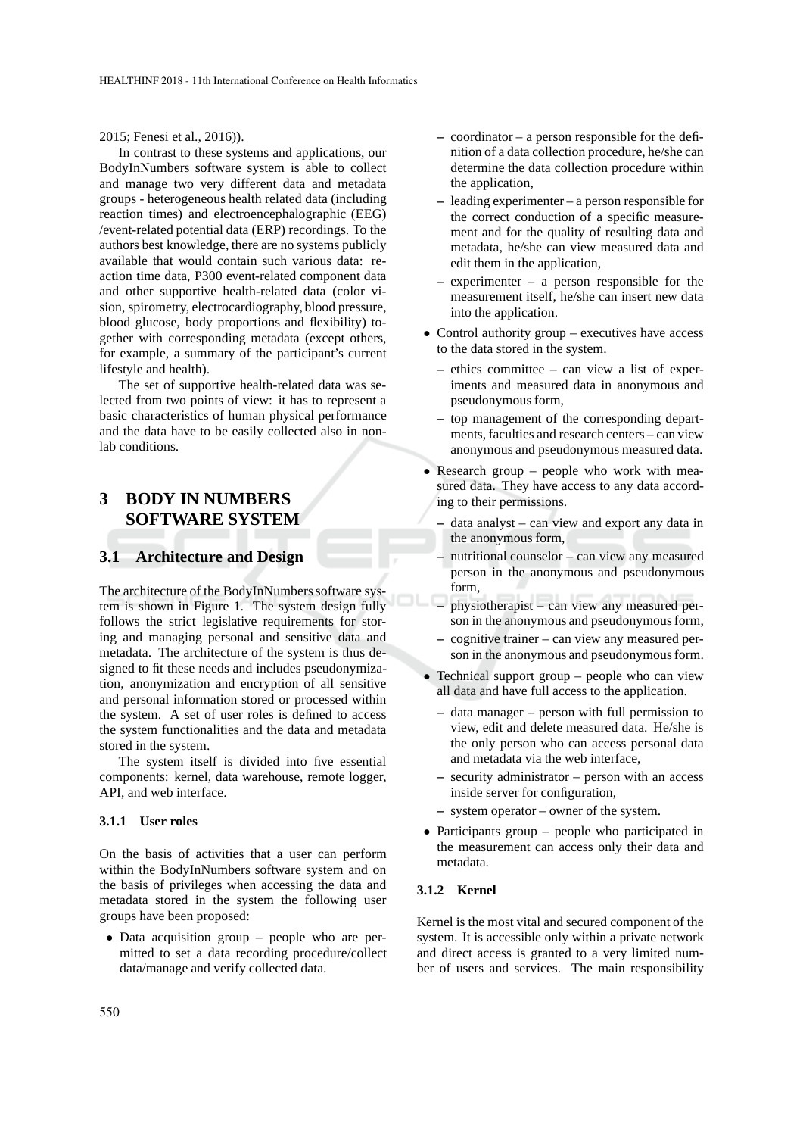#### 2015; Fenesi et al., 2016)).

In contrast to these systems and applications, our BodyInNumbers software system is able to collect and manage two very different data and metadata groups - heterogeneous health related data (including reaction times) and electroencephalographic (EEG) /event-related potential data (ERP) recordings. To the authors best knowledge, there are no systems publicly available that would contain such various data: reaction time data, P300 event-related component data and other supportive health-related data (color vision, spirometry, electrocardiography, blood pressure, blood glucose, body proportions and flexibility) together with corresponding metadata (except others, for example, a summary of the participant's current lifestyle and health).

The set of supportive health-related data was selected from two points of view: it has to represent a basic characteristics of human physical performance and the data have to be easily collected also in nonlab conditions.

# **3 BODY IN NUMBERS SOFTWARE SYSTEM**

## **3.1 Architecture and Design**

The architecture of the BodyInNumbers software system is shown in Figure 1. The system design fully follows the strict legislative requirements for storing and managing personal and sensitive data and metadata. The architecture of the system is thus designed to fit these needs and includes pseudonymization, anonymization and encryption of all sensitive and personal information stored or processed within the system. A set of user roles is defined to access the system functionalities and the data and metadata stored in the system.

The system itself is divided into five essential components: kernel, data warehouse, remote logger, API, and web interface.

#### **3.1.1 User roles**

On the basis of activities that a user can perform within the BodyInNumbers software system and on the basis of privileges when accessing the data and metadata stored in the system the following user groups have been proposed:

• Data acquisition group – people who are permitted to set a data recording procedure/collect data/manage and verify collected data.

- **–** coordinator a person responsible for the definition of a data collection procedure, he/she can determine the data collection procedure within the application,
- **–** leading experimenter a person responsible for the correct conduction of a specific measurement and for the quality of resulting data and metadata, he/she can view measured data and edit them in the application,
- **–** experimenter a person responsible for the measurement itself, he/she can insert new data into the application.
- Control authority group executives have access to the data stored in the system.
	- **–** ethics committee can view a list of experiments and measured data in anonymous and pseudonymous form,
	- **–** top management of the corresponding departments, faculties and research centers – can view anonymous and pseudonymous measured data.
- Research group people who work with measured data. They have access to any data according to their permissions.
	- **–** data analyst can view and export any data in the anonymous form,
	- **–** nutritional counselor can view any measured person in the anonymous and pseudonymous form,
	- **–** physiotherapist can view any measured person in the anonymous and pseudonymous form,
	- **–** cognitive trainer can view any measured person in the anonymous and pseudonymous form.
- Technical support group people who can view all data and have full access to the application.
	- **–** data manager person with full permission to view, edit and delete measured data. He/she is the only person who can access personal data and metadata via the web interface,
	- **–** security administrator person with an access inside server for configuration,
	- **–** system operator owner of the system.
- Participants group people who participated in the measurement can access only their data and metadata.

### **3.1.2 Kernel**

Kernel is the most vital and secured component of the system. It is accessible only within a private network and direct access is granted to a very limited number of users and services. The main responsibility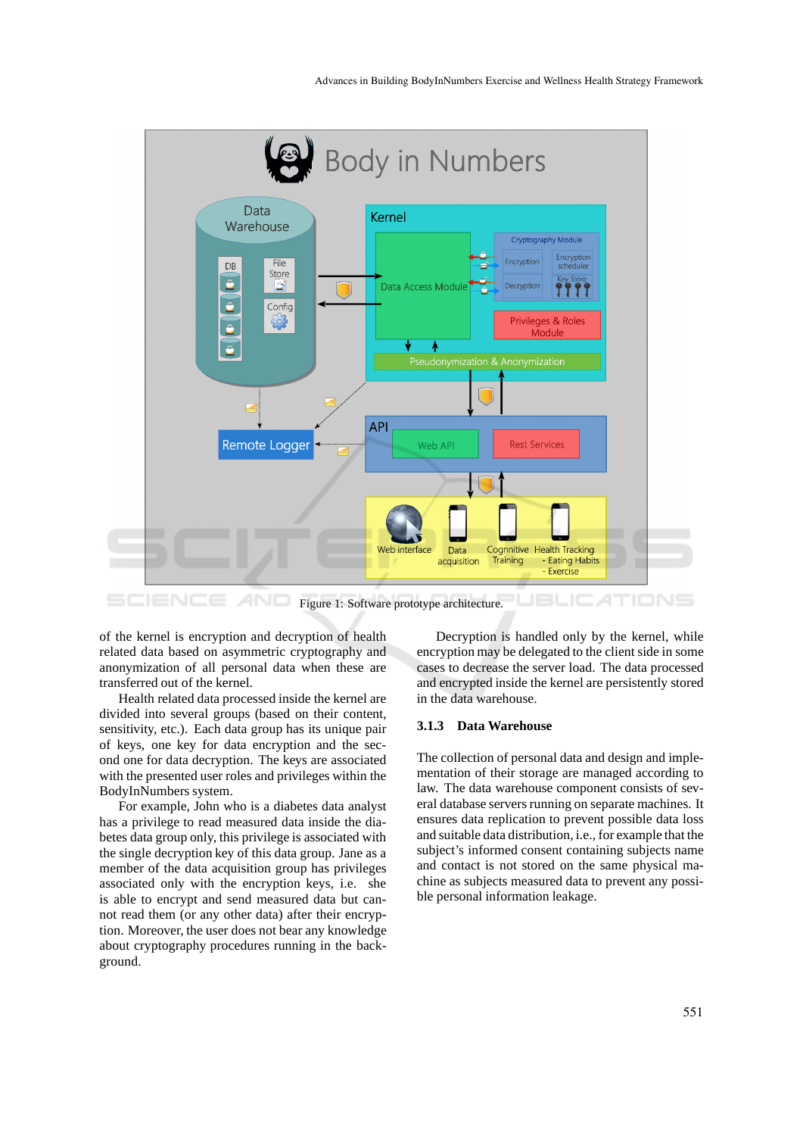

Figure 1: Software prototype architecture.

of the kernel is encryption and decryption of health related data based on asymmetric cryptography and anonymization of all personal data when these are transferred out of the kernel.

Health related data processed inside the kernel are divided into several groups (based on their content, sensitivity, etc.). Each data group has its unique pair of keys, one key for data encryption and the second one for data decryption. The keys are associated with the presented user roles and privileges within the BodyInNumbers system.

For example, John who is a diabetes data analyst has a privilege to read measured data inside the diabetes data group only, this privilege is associated with the single decryption key of this data group. Jane as a member of the data acquisition group has privileges associated only with the encryption keys, i.e. she is able to encrypt and send measured data but cannot read them (or any other data) after their encryption. Moreover, the user does not bear any knowledge about cryptography procedures running in the background.

Decryption is handled only by the kernel, while encryption may be delegated to the client side in some cases to decrease the server load. The data processed and encrypted inside the kernel are persistently stored in the data warehouse.

### **3.1.3 Data Warehouse**

The collection of personal data and design and implementation of their storage are managed according to law. The data warehouse component consists of several database servers running on separate machines. It ensures data replication to prevent possible data loss and suitable data distribution, i.e., for example that the subject's informed consent containing subjects name and contact is not stored on the same physical machine as subjects measured data to prevent any possible personal information leakage.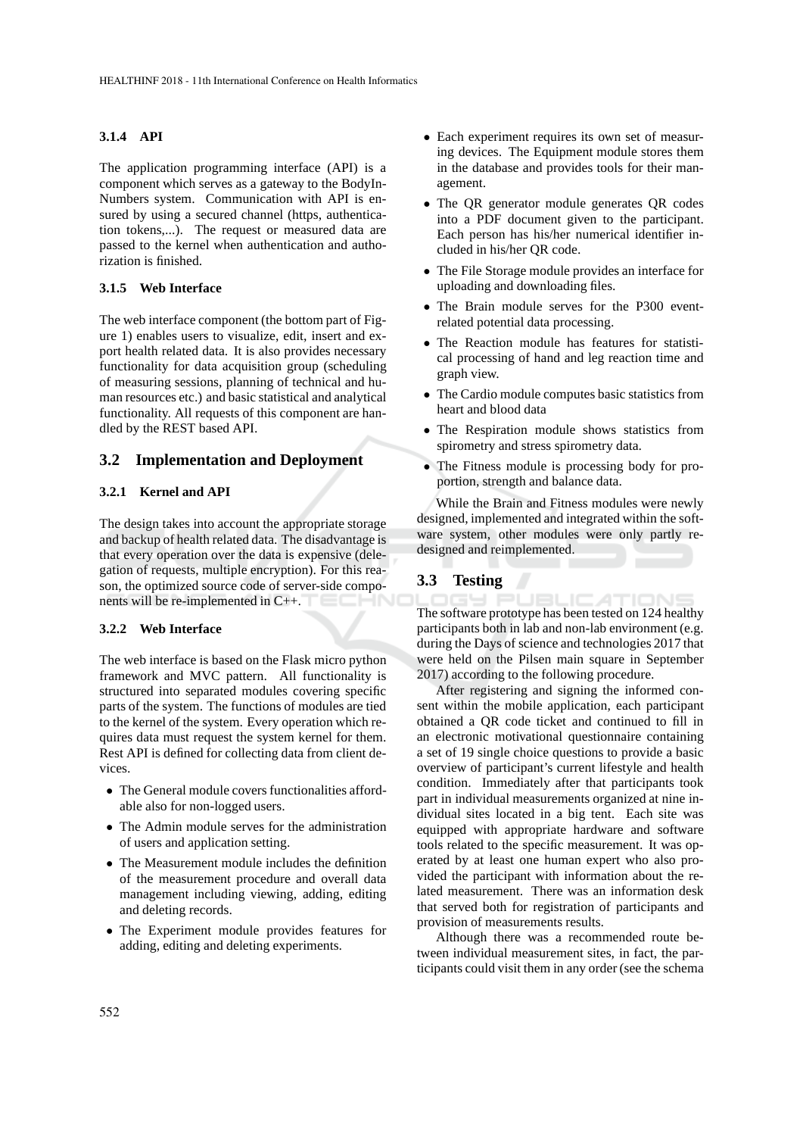### **3.1.4 API**

The application programming interface (API) is a component which serves as a gateway to the BodyIn-Numbers system. Communication with API is ensured by using a secured channel (https, authentication tokens,...). The request or measured data are passed to the kernel when authentication and authorization is finished.

## **3.1.5 Web Interface**

The web interface component (the bottom part of Figure 1) enables users to visualize, edit, insert and export health related data. It is also provides necessary functionality for data acquisition group (scheduling of measuring sessions, planning of technical and human resources etc.) and basic statistical and analytical functionality. All requests of this component are handled by the REST based API.

## **3.2 Implementation and Deployment**

### **3.2.1 Kernel and API**

The design takes into account the appropriate storage and backup of health related data. The disadvantage is that every operation over the data is expensive (delegation of requests, multiple encryption). For this reason, the optimized source code of server-side components will be re-implemented in C++.

### **3.2.2 Web Interface**

The web interface is based on the Flask micro python framework and MVC pattern. All functionality is structured into separated modules covering specific parts of the system. The functions of modules are tied to the kernel of the system. Every operation which requires data must request the system kernel for them. Rest API is defined for collecting data from client devices.

- The General module covers functionalities affordable also for non-logged users.
- The Admin module serves for the administration of users and application setting.
- The Measurement module includes the definition of the measurement procedure and overall data management including viewing, adding, editing and deleting records.
- The Experiment module provides features for adding, editing and deleting experiments.
- Each experiment requires its own set of measuring devices. The Equipment module stores them in the database and provides tools for their management.
- The QR generator module generates QR codes into a PDF document given to the participant. Each person has his/her numerical identifier included in his/her QR code.
- The File Storage module provides an interface for uploading and downloading files.
- The Brain module serves for the P300 eventrelated potential data processing.
- The Reaction module has features for statistical processing of hand and leg reaction time and graph view.
- The Cardio module computes basic statistics from heart and blood data
- The Respiration module shows statistics from spirometry and stress spirometry data.
- The Fitness module is processing body for proportion, strength and balance data.

While the Brain and Fitness modules were newly designed, implemented and integrated within the software system, other modules were only partly redesigned and reimplemented.

## **3.3 Testing**

ΙC The software prototype has been tested on 124 healthy participants both in lab and non-lab environment (e.g. during the Days of science and technologies 2017 that were held on the Pilsen main square in September 2017) according to the following procedure.

After registering and signing the informed consent within the mobile application, each participant obtained a QR code ticket and continued to fill in an electronic motivational questionnaire containing a set of 19 single choice questions to provide a basic overview of participant's current lifestyle and health condition. Immediately after that participants took part in individual measurements organized at nine individual sites located in a big tent. Each site was equipped with appropriate hardware and software tools related to the specific measurement. It was operated by at least one human expert who also provided the participant with information about the related measurement. There was an information desk that served both for registration of participants and provision of measurements results.

Although there was a recommended route between individual measurement sites, in fact, the participants could visit them in any order (see the schema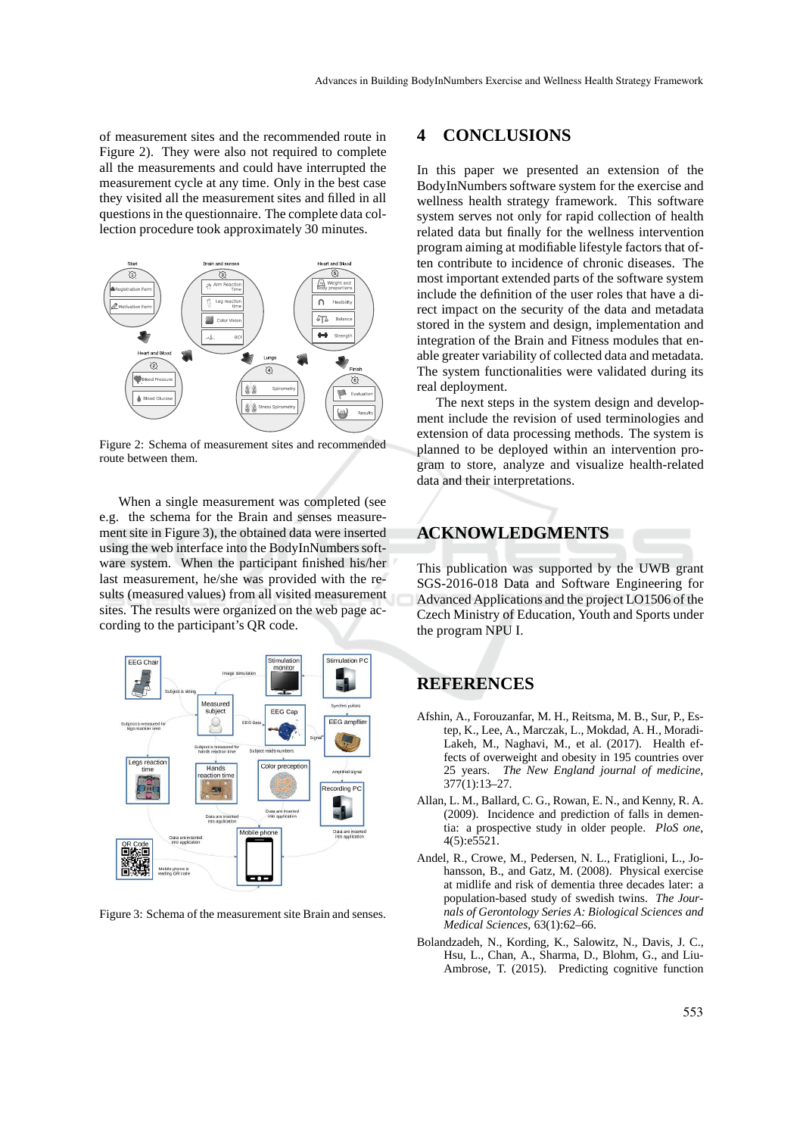of measurement sites and the recommended route in Figure 2). They were also not required to complete all the measurements and could have interrupted the measurement cycle at any time. Only in the best case they visited all the measurement sites and filled in all questions in the questionnaire. The complete data collection procedure took approximately 30 minutes.



Figure 2: Schema of measurement sites and recommended route between them.

When a single measurement was completed (see e.g. the schema for the Brain and senses measurement site in Figure 3), the obtained data were inserted using the web interface into the BodyInNumbers software system. When the participant finished his/her last measurement, he/she was provided with the results (measured values) from all visited measurement sites. The results were organized on the web page according to the participant's QR code.



Figure 3: Schema of the measurement site Brain and senses.

## **4 CONCLUSIONS**

In this paper we presented an extension of the BodyInNumbers software system for the exercise and wellness health strategy framework. This software system serves not only for rapid collection of health related data but finally for the wellness intervention program aiming at modifiable lifestyle factors that often contribute to incidence of chronic diseases. The most important extended parts of the software system include the definition of the user roles that have a direct impact on the security of the data and metadata stored in the system and design, implementation and integration of the Brain and Fitness modules that enable greater variability of collected data and metadata. The system functionalities were validated during its real deployment.

The next steps in the system design and development include the revision of used terminologies and extension of data processing methods. The system is planned to be deployed within an intervention program to store, analyze and visualize health-related data and their interpretations.

## **ACKNOWLEDGMENTS**

This publication was supported by the UWB grant SGS-2016-018 Data and Software Engineering for Advanced Applications and the project LO1506 of the Czech Ministry of Education, Youth and Sports under the program NPU I.

## **REFERENCES**

- Afshin, A., Forouzanfar, M. H., Reitsma, M. B., Sur, P., Estep, K., Lee, A., Marczak, L., Mokdad, A. H., Moradi-Lakeh, M., Naghavi, M., et al. (2017). Health effects of overweight and obesity in 195 countries over 25 years. *The New England journal of medicine*, 377(1):13–27.
- Allan, L. M., Ballard, C. G., Rowan, E. N., and Kenny, R. A. (2009). Incidence and prediction of falls in dementia: a prospective study in older people. *PloS one*, 4(5):e5521.
- Andel, R., Crowe, M., Pedersen, N. L., Fratiglioni, L., Johansson, B., and Gatz, M. (2008). Physical exercise at midlife and risk of dementia three decades later: a population-based study of swedish twins. *The Journals of Gerontology Series A: Biological Sciences and Medical Sciences*, 63(1):62–66.
- Bolandzadeh, N., Kording, K., Salowitz, N., Davis, J. C., Hsu, L., Chan, A., Sharma, D., Blohm, G., and Liu-Ambrose, T. (2015). Predicting cognitive function